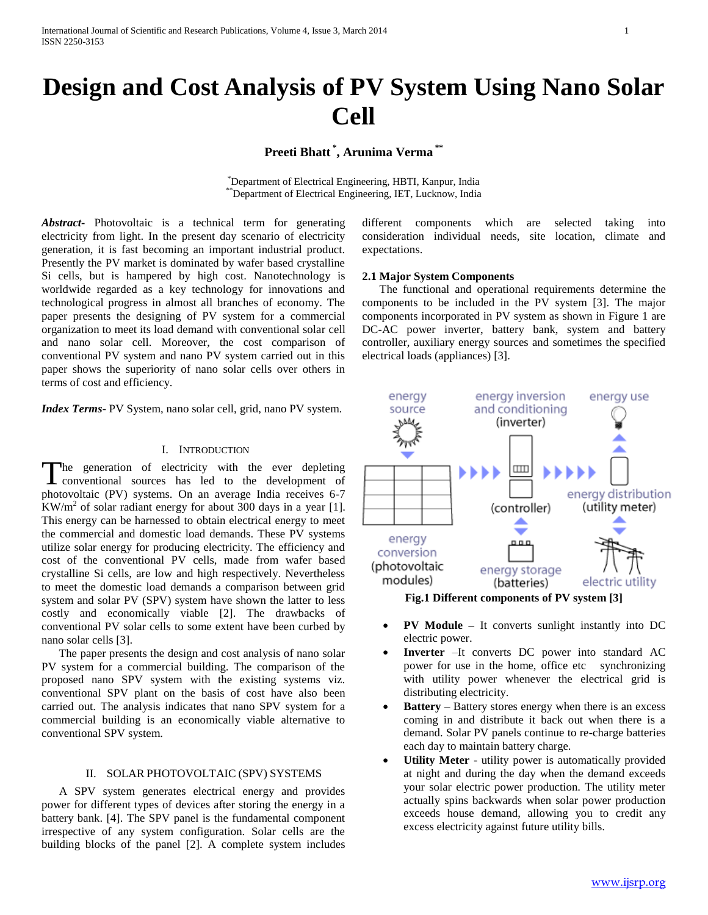# **Design and Cost Analysis of PV System Using Nano Solar Cell**

**Preeti Bhatt \* , Arunima Verma \*\***

\*Department of Electrical Engineering, HBTI, Kanpur, India \*\*Department of Electrical Engineering, IET, Lucknow, India

*Abstract***-** Photovoltaic is a technical term for generating electricity from light. In the present day scenario of electricity generation, it is fast becoming an important industrial product. Presently the PV market is dominated by wafer based crystalline Si cells, but is hampered by high cost. Nanotechnology is worldwide regarded as a key technology for innovations and technological progress in almost all branches of economy. The paper presents the designing of PV system for a commercial organization to meet its load demand with conventional solar cell and nano solar cell. Moreover, the cost comparison of conventional PV system and nano PV system carried out in this paper shows the superiority of nano solar cells over others in terms of cost and efficiency.

*Index Terms*- PV System, nano solar cell, grid, nano PV system.

#### I. INTRODUCTION

The generation of electricity with the ever depleting The generation of electricity with the ever depleting<br>conventional sources has led to the development of photovoltaic (PV) systems. On an average India receives 6-7  $\frac{1}{2}$ KW/m<sup>2</sup> of solar radiant energy for about 300 days in a year [1]. This energy can be harnessed to obtain electrical energy to meet the commercial and domestic load demands. These PV systems utilize solar energy for producing electricity. The efficiency and cost of the conventional PV cells, made from wafer based crystalline Si cells, are low and high respectively. Nevertheless to meet the domestic load demands a comparison between grid system and solar PV (SPV) system have shown the latter to less costly and economically viable [2]. The drawbacks of conventional PV solar cells to some extent have been curbed by nano solar cells [3].

 The paper presents the design and cost analysis of nano solar PV system for a commercial building. The comparison of the proposed nano SPV system with the existing systems viz. conventional SPV plant on the basis of cost have also been carried out. The analysis indicates that nano SPV system for a commercial building is an economically viable alternative to conventional SPV system.

#### II. SOLAR PHOTOVOLTAIC (SPV) SYSTEMS

 A SPV system generates electrical energy and provides power for different types of devices after storing the energy in a battery bank. [4]. The SPV panel is the fundamental component irrespective of any system configuration. Solar cells are the building blocks of the panel [2]. A complete system includes different components which are selected taking into consideration individual needs, site location, climate and expectations.

## **2.1 Major System Components**

 The functional and operational requirements determine the components to be included in the PV system [3]. The major components incorporated in PV system as shown in Figure 1 are DC-AC power inverter, battery bank, system and battery controller, auxiliary energy sources and sometimes the specified electrical loads (appliances) [3].



- **PV Module –** It converts sunlight instantly into DC electric power.
- **Inverter** –It converts DC power into standard AC power for use in the home, office etc synchronizing with utility power whenever the electrical grid is distributing electricity.
- **Battery** Battery stores energy when there is an excess coming in and distribute it back out when there is a demand. Solar PV panels continue to re-charge batteries each day to maintain battery charge.
- **Utility Meter** utility power is automatically provided at night and during the day when the demand exceeds your solar electric power production. The utility meter actually spins backwards when solar power production exceeds house demand, allowing you to credit any excess electricity against future utility bills.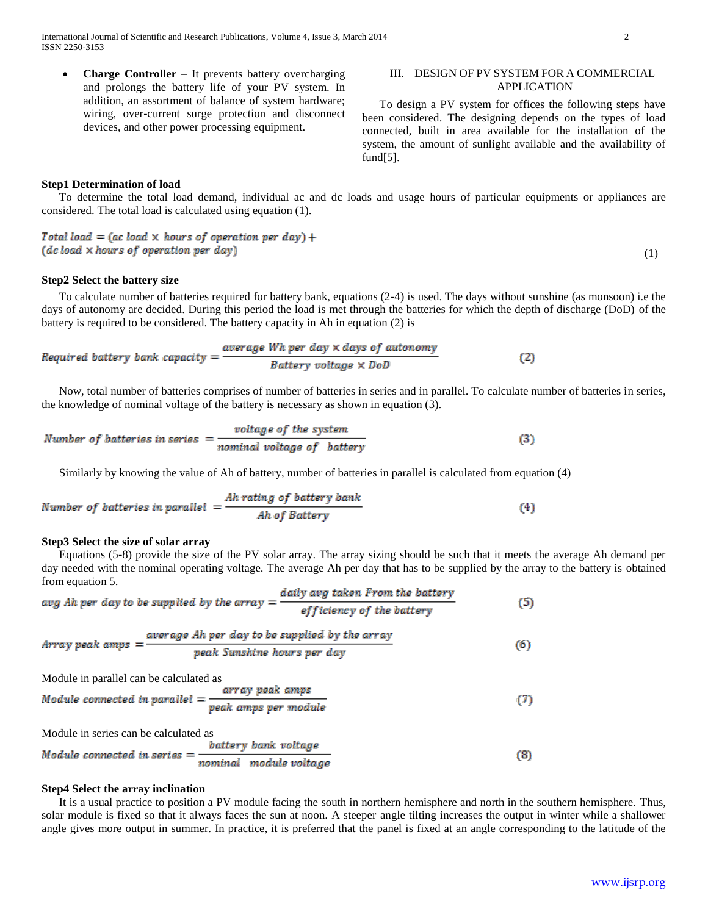**Charge Controller** – It prevents battery overcharging and prolongs the battery life of your PV system. In addition, an assortment of balance of system hardware; wiring, over-current surge protection and disconnect devices, and other power processing equipment.

## III. DESIGN OF PV SYSTEM FOR A COMMERCIAL APPLICATION

 To design a PV system for offices the following steps have been considered. The designing depends on the types of load connected, built in area available for the installation of the system, the amount of sunlight available and the availability of fund[5].

## **Step1 Determination of load**

 To determine the total load demand, individual ac and dc loads and usage hours of particular equipments or appliances are considered. The total load is calculated using equation (1).

Total load = (ac load  $\times$  hours of operation per day) + (dc load × hours of operation per day)

## **Step2 Select the battery size**

 To calculate number of batteries required for battery bank, equations (2-4) is used. The days without sunshine (as monsoon) i.e the days of autonomy are decided. During this period the load is met through the batteries for which the depth of discharge (DoD) of the battery is required to be considered. The battery capacity in Ah in equation (2) is

Required battery bank capacity = 
$$
\frac{average Wh per day \times days of automomy}{Battery voltage \times DoD}
$$
 (2)

 Now, total number of batteries comprises of number of batteries in series and in parallel. To calculate number of batteries in series, the knowledge of nominal voltage of the battery is necessary as shown in equation (3).

Number of batteries in series 
$$
= \frac{voltage \ of \ the \ system}{nominal \ voltage \ of \ battery}
$$
 (3)

Similarly by knowing the value of Ah of battery, number of batteries in parallel is calculated from equation (4)

Number of batteries in parallel = 
$$
\frac{Ah \text{ rating of battery bank}}{Ah \text{ of battery}}
$$
 (4)

#### **Step3 Select the size of solar array**

 Equations (5-8) provide the size of the PV solar array. The array sizing should be such that it meets the average Ah demand per day needed with the nominal operating voltage. The average Ah per day that has to be supplied by the array to the battery is obtained from equation 5.

$$
avg Ah per day to be supplied by the array = \frac{daily avg taken From the battery}{efficiency of the battery}
$$
 (5)

Array peakamps = 
$$
\frac{average Ah per day to be supplied by the array}{peak Sunshire hours per day}
$$
 (6)

Module in parallel can be calculated as

ź

Module connected in parallel = 
$$
\frac{array\ p\epsilon ak\ amps}{peak\ amps\ per\ module}
$$

\n(7)

Module in series can be calculated as

Module connected in series = 
$$
\frac{battery \ bank \ voltage}{nominal \ module \ voltage}
$$

\n(8)

## **Step4 Select the array inclination**

 It is a usual practice to position a PV module facing the south in northern hemisphere and north in the southern hemisphere. Thus, solar module is fixed so that it always faces the sun at noon. A steeper angle tilting increases the output in winter while a shallower angle gives more output in summer. In practice, it is preferred that the panel is fixed at an angle corresponding to the latitude of the

(1)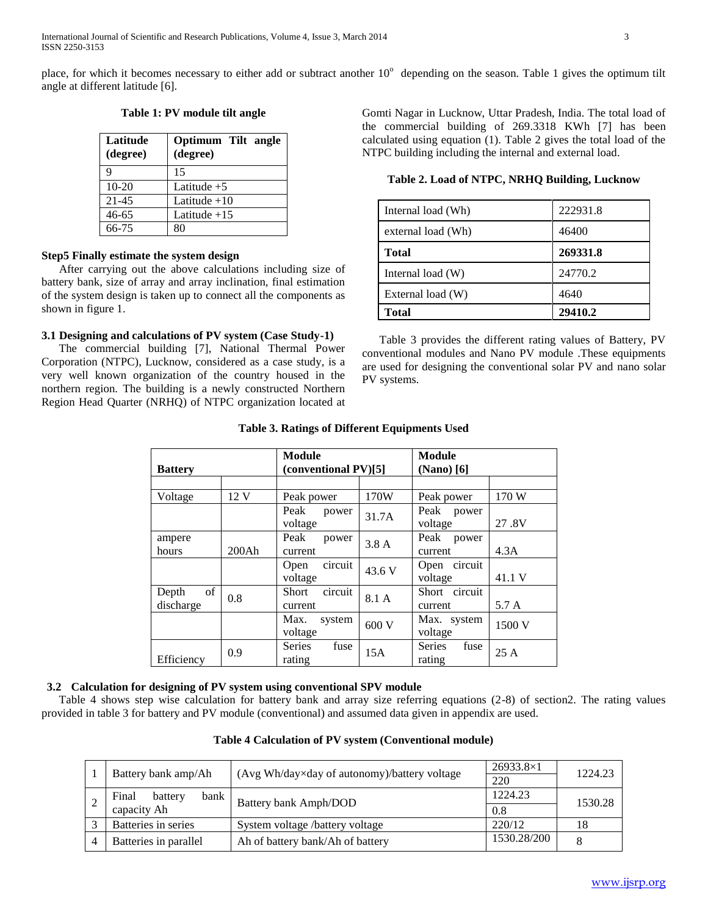place, for which it becomes necessary to either add or subtract another  $10^{\circ}$  depending on the season. Table 1 gives the optimum tilt angle at different latitude [6].

| Latitude<br>(degree) | Optimum Tilt angle<br>(degree) |
|----------------------|--------------------------------|
|                      | 15                             |
| $10-20$              | Latitude $+5$                  |
| $21 - 45$            | Latitude $+10$                 |
| 46-65                | Latitude $+15$                 |
| 66-75                | 80                             |

**Table 1: PV module tilt angle**

## **Step5 Finally estimate the system design**

 After carrying out the above calculations including size of battery bank, size of array and array inclination, final estimation of the system design is taken up to connect all the components as shown in figure 1.

## **3.1 Designing and calculations of PV system (Case Study-1)**

 The commercial building [7], National Thermal Power Corporation (NTPC), Lucknow, considered as a case study, is a very well known organization of the country housed in the northern region. The building is a newly constructed Northern Region Head Quarter (NRHQ) of NTPC organization located at Gomti Nagar in Lucknow, Uttar Pradesh, India. The total load of the commercial building of 269.3318 KWh [7] has been calculated using equation (1). Table 2 gives the total load of the NTPC building including the internal and external load.

**Table 2. Load of NTPC, NRHQ Building, Lucknow**

| Internal load (Wh) | 222931.8 |
|--------------------|----------|
| external load (Wh) | 46400    |
| <b>Total</b>       | 269331.8 |
| Internal load (W)  | 24770.2  |
| External load (W)  | 4640     |
| Total              | 29410.2  |

 Table 3 provides the different rating values of Battery, PV conventional modules and Nano PV module .These equipments are used for designing the conventional solar PV and nano solar PV systems.

| <b>Battery</b>           |                 | Module<br>(conventional PV)[5] |        | <b>Module</b><br>$(Nano)$ [6]   |        |
|--------------------------|-----------------|--------------------------------|--------|---------------------------------|--------|
|                          |                 |                                |        |                                 |        |
| Voltage                  | 12 <sub>V</sub> | Peak power                     | 170W   | Peak power                      | 170 W  |
|                          |                 | Peak power<br>voltage          | 31.7A  | Peak power<br>voltage           | 27.8V  |
| ampere<br>hours          | 200Ah           | Peak<br>power<br>current       | 3.8A   | Peak power<br>current           | 4.3A   |
|                          |                 | circuit<br>Open<br>voltage     | 43.6 V | Open circuit<br>voltage         | 41.1 V |
| of<br>Depth<br>discharge | 0.8             | circuit<br>Short<br>current    | 8.1 A  | Short circuit<br>current        | 5.7 A  |
|                          |                 | Max.<br>system<br>voltage      | 600 V  | Max. system<br>voltage          | 1500 V |
| Efficiency               | 0.9             | Series<br>fuse<br>rating       | 15A    | <b>Series</b><br>fuse<br>rating | 25A    |

## **Table 3. Ratings of Different Equipments Used**

## **3.2 Calculation for designing of PV system using conventional SPV module**

 Table 4 shows step wise calculation for battery bank and array size referring equations (2-8) of section2. The rating values provided in table 3 for battery and PV module (conventional) and assumed data given in appendix are used.

| Battery bank amp/Ah |                          |                                              | $26933.8\times1$ | 1224.23 |
|---------------------|--------------------------|----------------------------------------------|------------------|---------|
|                     |                          | (Avg Wh/day×day of autonomy)/battery voltage | 220              |         |
|                     | Final<br>bank<br>battery | Battery bank Amph/DOD                        | 1224.23          | 1530.28 |
| capacity Ah         |                          |                                              | 0.8              |         |
| $\rightarrow$       | Batteries in series      | System voltage /battery voltage              | 220/12           | 18      |
|                     | Batteries in parallel    | Ah of battery bank/Ah of battery             | 1530.28/200      |         |

## **Table 4 Calculation of PV system (Conventional module)**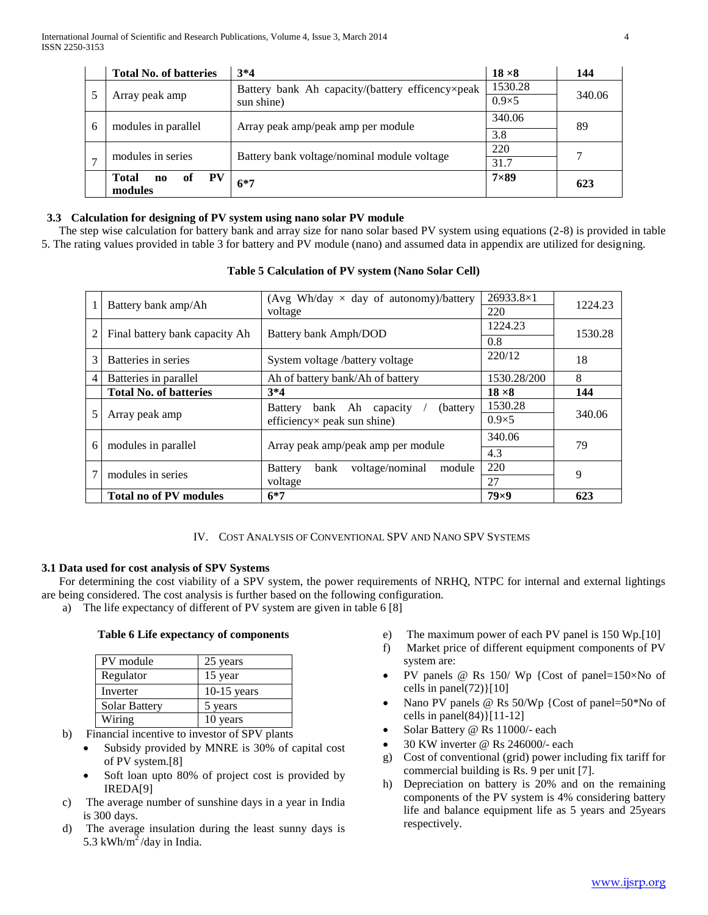|                     | <b>Total No. of batteries</b>            | $3*4$                                            | $18 \times 8$ | 144    |
|---------------------|------------------------------------------|--------------------------------------------------|---------------|--------|
|                     |                                          | Battery bank Ah capacity/(battery efficency×peak | 1530.28       |        |
| Array peak amp      |                                          | sun shine)                                       | $0.9\times 5$ | 340.06 |
| 6                   |                                          |                                                  | 340.06        | 89     |
| modules in parallel |                                          | Array peak amp/peak amp per module               | 3.8           |        |
|                     | modules in series                        | Battery bank voltage/nominal module voltage      | 220           |        |
| ⇁                   |                                          |                                                  | 31.7          |        |
|                     | PV<br><b>Total</b><br>of<br>$\mathbf{n}$ | $6*7$                                            | $7\times89$   | 623    |
|                     | modules                                  |                                                  |               |        |

## **3.3 Calculation for designing of PV system using nano solar PV module**

 The step wise calculation for battery bank and array size for nano solar based PV system using equations (2-8) is provided in table 5. The rating values provided in table 3 for battery and PV module (nano) and assumed data in appendix are utilized for designing.

|                          | <b>Total no of PV modules</b>  | $6*7$                                               | $79\times9$      | 623     |
|--------------------------|--------------------------------|-----------------------------------------------------|------------------|---------|
|                          | modules in series              | voltage                                             | 27               | 9       |
|                          |                                | voltage/nominal<br>bank<br><b>Battery</b><br>module | 4.3<br>220       |         |
| 6<br>modules in parallel |                                | Array peak amp/peak amp per module                  | 340.06           | 79      |
| 5                        | Array peak amp                 | efficiency× peak sun shine)                         | $0.9\times 5$    | 340.06  |
|                          |                                | bank Ah capacity<br>(battery)<br>Battery            | 1530.28          |         |
|                          | <b>Total No. of batteries</b>  | $3*4$                                               | $18 \times 8$    | 144     |
| 4                        | Batteries in parallel          | Ah of battery bank/Ah of battery                    | 1530.28/200      | 8       |
| 3                        | Batteries in series            | System voltage /battery voltage                     | 220/12           | 18      |
| 2                        | Final battery bank capacity Ah | Battery bank Amph/DOD                               | 1224.23<br>0.8   | 1530.28 |
|                          |                                | voltage                                             | 220              |         |
| Battery bank amp/Ah      |                                | (Avg Wh/day $\times$ day of autonomy)/battery       | $26933.8\times1$ | 1224.23 |

## **Table 5 Calculation of PV system (Nano Solar Cell)**

IV. COST ANALYSIS OF CONVENTIONAL SPV AND NANO SPV SYSTEMS

## **3.1 Data used for cost analysis of SPV Systems**

 For determining the cost viability of a SPV system, the power requirements of NRHQ, NTPC for internal and external lightings are being considered. The cost analysis is further based on the following configuration.

a) The life expectancy of different of PV system are given in table 6 [8]

## **Table 6 Life expectancy of components**

| PV module            | 25 years      |
|----------------------|---------------|
| Regulator            | 15 year       |
| Inverter             | $10-15$ years |
| <b>Solar Battery</b> | 5 years       |
| Wiring               | 10 years      |

- b) Financial incentive to investor of SPV plants
	- Subsidy provided by MNRE is 30% of capital cost of PV system.[8]
	- Soft loan upto 80% of project cost is provided by IREDA[9]
- c) The average number of sunshine days in a year in India is 300 days.
- d) The average insulation during the least sunny days is 5.3 kWh/m<sup>2</sup>/day in India.
- e) The maximum power of each PV panel is 150 Wp.[10]
- f) Market price of different equipment components of PV system are:
- PV panels @ Rs 150/ Wp {Cost of panel=150×No of cells in panel $(72)$ [10]
- Nano PV panels @ Rs 50/Wp {Cost of panel=50\*No of cells in panel(84)}[11-12]
- Solar Battery @ Rs 11000/- each
- 30 KW inverter @ Rs 246000/- each
- g) Cost of conventional (grid) power including fix tariff for commercial building is Rs. 9 per unit [7].
- h) Depreciation on battery is 20% and on the remaining components of the PV system is 4% considering battery life and balance equipment life as 5 years and 25years respectively.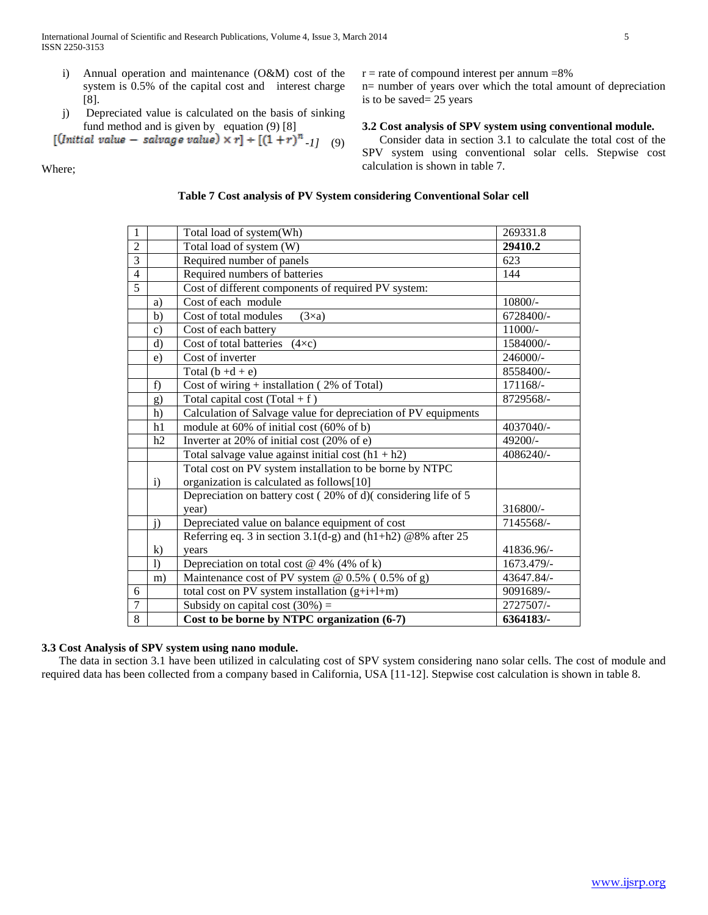- i) Annual operation and maintenance (O&M) cost of the system is 0.5% of the capital cost and interest charge [8].
- j) Depreciated value is calculated on the basis of sinking fund method and is given by equation (9) [8]

$$
[(Initial value - salvage value) \times r] \div [(1+r)^{n} \cdot 1] \quad (9)
$$

Where;

 $r =$  rate of compound interest per annum  $=8\%$ 

n= number of years over which the total amount of depreciation is to be saved= 25 years

## **3.2 Cost analysis of SPV system using conventional module.**

 Consider data in section 3.1 to calculate the total cost of the SPV system using conventional solar cells. Stepwise cost calculation is shown in table 7.

## **Table 7 Cost analysis of PV System considering Conventional Solar cell**

| 1                       |                | Total load of system(Wh)                                                                                           | 269331.8   |
|-------------------------|----------------|--------------------------------------------------------------------------------------------------------------------|------------|
| $\overline{2}$          |                | Total load of system (W)                                                                                           | 29410.2    |
| $\overline{3}$          |                | Required number of panels                                                                                          | 623        |
| $\overline{\mathbf{4}}$ |                | Required numbers of batteries                                                                                      | 144        |
| $\overline{5}$          |                | Cost of different components of required PV system:                                                                |            |
|                         | a)             | Cost of each module                                                                                                | 10800/-    |
|                         | b)             | Cost of total modules<br>$(3\times a)$                                                                             | 6728400/-  |
|                         | $\mathbf{c})$  | Cost of each battery                                                                                               | 11000/-    |
|                         | d)             | Cost of total batteries $(4 \times c)$                                                                             | 1584000/-  |
|                         | e)             | Cost of inverter                                                                                                   | 246000/-   |
|                         |                | Total $(b + d + e)$                                                                                                | 8558400/-  |
|                         | f)             | Cost of wiring $+$ installation (2% of Total)                                                                      | 171168/-   |
|                         | g)             | Total capital cost $(Total + f)$                                                                                   | 8729568/-  |
|                         | h)             | Calculation of Salvage value for depreciation of PV equipments                                                     |            |
|                         | h1             | module at 60% of initial cost (60% of b)                                                                           | 4037040/-  |
|                         | h2             | Inverter at 20% of initial cost (20% of e)                                                                         | 49200/-    |
|                         |                | Total salvage value against initial cost $(h1 + h2)$                                                               | 4086240/-  |
|                         |                | Total cost on PV system installation to be borne by NTPC                                                           |            |
|                         | i)             | organization is calculated as follows[10]                                                                          |            |
|                         |                | Depreciation on battery cost (20% of d)(considering life of 5                                                      | 316800/-   |
|                         |                | year)                                                                                                              | 7145568/-  |
|                         | j)             | Depreciated value on balance equipment of cost<br>Referring eq. 3 in section $3.1(d-g)$ and $(h1+h2)$ @8% after 25 |            |
|                         |                |                                                                                                                    | 41836.96/- |
|                         | $\bf k)$<br>1) | vears<br>Depreciation on total cost $@$ 4% (4% of k)                                                               | 1673.479/- |
|                         |                | Maintenance cost of PV system @ 0.5% (0.5% of g)                                                                   | 43647.84/- |
| 6                       | m)             |                                                                                                                    | 9091689/-  |
| $\overline{7}$          |                | total cost on PV system installation $(g+i+1+m)$                                                                   | 2727507/-  |
| 8                       |                | Subsidy on capital cost $(30\%)$ =                                                                                 |            |
|                         |                | Cost to be borne by NTPC organization (6-7)                                                                        | 6364183/-  |

## **3.3 Cost Analysis of SPV system using nano module.**

 The data in section 3.1 have been utilized in calculating cost of SPV system considering nano solar cells. The cost of module and required data has been collected from a company based in California, USA [11-12]. Stepwise cost calculation is shown in table 8.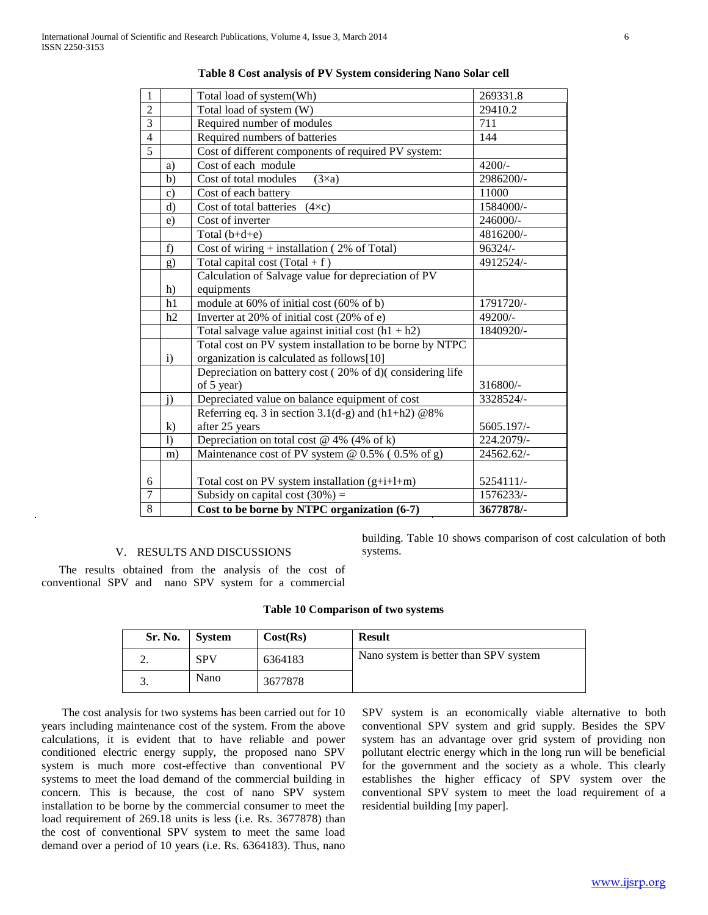| $\mathbf{1}$   |               | Total load of system(Wh)                                 | 269331.8   |
|----------------|---------------|----------------------------------------------------------|------------|
| $\overline{2}$ |               | Total load of system (W)                                 | 29410.2    |
| $\overline{3}$ |               | Required number of modules                               | 711        |
| $\overline{4}$ |               | Required numbers of batteries                            | 144        |
| $\overline{5}$ |               | Cost of different components of required PV system:      |            |
|                | a)            | Cost of each module                                      | $4200/-$   |
|                | b)            | Cost of total modules<br>$(3\times a)$                   | 2986200/-  |
|                | $\mathbf{c})$ | Cost of each battery                                     | 11000      |
|                | $\rm d$       | Cost of total batteries<br>$(4 \times c)$                | 1584000/-  |
|                | e)            | Cost of inverter                                         | 246000/-   |
|                |               | Total $(b+d+e)$                                          | 4816200/-  |
|                | f)            | Cost of wiring $+$ installation (2% of Total)            | $96324/-$  |
|                | g)            | Total capital cost $(Total + f)$                         | 4912524/-  |
|                |               | Calculation of Salvage value for depreciation of PV      |            |
|                | h)            | equipments                                               |            |
|                | h1            | module at 60% of initial cost (60% of b)                 | 1791720/-  |
|                | h2            | Inverter at 20% of initial cost (20% of e)               | 49200/-    |
|                |               | Total salvage value against initial cost $(h1 + h2)$     | 1840920/-  |
|                |               | Total cost on PV system installation to be borne by NTPC |            |
|                | i)            | organization is calculated as follows[10]                |            |
|                |               | Depreciation on battery cost (20% of d)(considering life |            |
|                |               | of 5 year)                                               | 316800/-   |
|                | j)            | Depreciated value on balance equipment of cost           | 3328524/-  |
|                |               | Referring eq. 3 in section $3.1(d-g)$ and $(h1+h2)$ @8%  |            |
|                | $\mathbf{k}$  | after 25 years                                           | 5605.197/- |
|                | $\mathbf{I}$  | Depreciation on total cost $@$ 4% (4% of k)              | 224.2079/- |
|                | m)            | Maintenance cost of PV system @ 0.5% (0.5% of g)         | 24562.62/- |
|                |               |                                                          |            |
| 6              |               | Total cost on PV system installation $(g+i+1+m)$         | 5254111/-  |
| $\overline{7}$ |               | Subsidy on capital cost $(30\%)$ =                       | 1576233/-  |
| 8              |               | Cost to be borne by NTPC organization (6-7)              | 3677878/-  |

#### **Table 8 Cost analysis of PV System considering Nano Solar cell**

## V. RESULTS AND DISCUSSIONS

building. Table 10 shows comparison of cost calculation of both systems.

 The results obtained from the analysis of the cost of conventional SPV and nano SPV system for a commercial

#### **Table 10 Comparison of two systems**

| Sr. No. | <b>System</b> | Cost(Rs) | <b>Result</b>                         |
|---------|---------------|----------|---------------------------------------|
| ,.      | <b>SPV</b>    | 6364183  | Nano system is better than SPV system |
| ິ.      | Nano          | 3677878  |                                       |

 The cost analysis for two systems has been carried out for 10 years including maintenance cost of the system. From the above calculations, it is evident that to have reliable and power conditioned electric energy supply, the proposed nano SPV system is much more cost-effective than conventional PV systems to meet the load demand of the commercial building in concern. This is because, the cost of nano SPV system installation to be borne by the commercial consumer to meet the load requirement of 269.18 units is less (i.e. Rs. 3677878) than the cost of conventional SPV system to meet the same load demand over a period of 10 years (i.e. Rs. 6364183). Thus, nano SPV system is an economically viable alternative to both conventional SPV system and grid supply. Besides the SPV system has an advantage over grid system of providing non pollutant electric energy which in the long run will be beneficial for the government and the society as a whole. This clearly establishes the higher efficacy of SPV system over the conventional SPV system to meet the load requirement of a residential building [my paper].